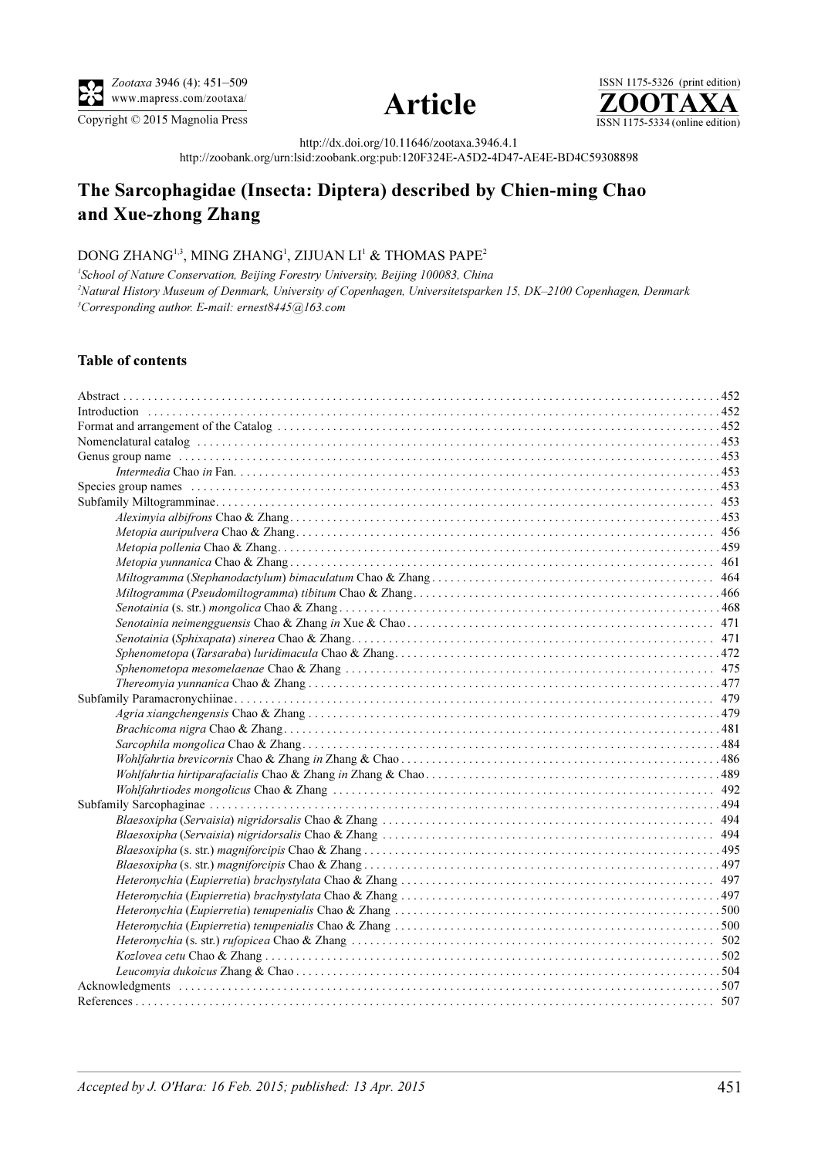





http://dx.doi.org/10.11646/zootaxa.3946.4.1

http://zoobank.org/urn:lsid:zoobank.org:pub:120F324E-A5D2-4D47-AE4E-BD4C59308898

# The Sarcophagidae (Insecta: Diptera) described by Chien-ming Chao and Xue-zhong Zhang

## DONG ZHANG<sup>1,3</sup>, MING ZHANG<sup>1</sup>, ZIJUAN LI<sup>1</sup> & THOMAS PAPE<sup>2</sup>

<sup>1</sup>School of Nature Conservation, Beijing Forestry University, Beijing 100083, China 2 Natural History Museum of Denmark, University of Copenhagen, Universitetsparken 15, DK–2100 Copenhagen, Denmark 3 Corresponding author. E-mail: ernest8445@163.com

## Table of contents

| Nomenclatural catalog (and according to the set of the set of the set of the set of the set of the set of the set of the set of the set of the set of the set of the set of the set of the set of the set of the set of the se |
|--------------------------------------------------------------------------------------------------------------------------------------------------------------------------------------------------------------------------------|
|                                                                                                                                                                                                                                |
|                                                                                                                                                                                                                                |
|                                                                                                                                                                                                                                |
|                                                                                                                                                                                                                                |
|                                                                                                                                                                                                                                |
|                                                                                                                                                                                                                                |
|                                                                                                                                                                                                                                |
|                                                                                                                                                                                                                                |
|                                                                                                                                                                                                                                |
|                                                                                                                                                                                                                                |
|                                                                                                                                                                                                                                |
|                                                                                                                                                                                                                                |
|                                                                                                                                                                                                                                |
|                                                                                                                                                                                                                                |
|                                                                                                                                                                                                                                |
|                                                                                                                                                                                                                                |
|                                                                                                                                                                                                                                |
|                                                                                                                                                                                                                                |
|                                                                                                                                                                                                                                |
|                                                                                                                                                                                                                                |
|                                                                                                                                                                                                                                |
|                                                                                                                                                                                                                                |
|                                                                                                                                                                                                                                |
|                                                                                                                                                                                                                                |
|                                                                                                                                                                                                                                |
|                                                                                                                                                                                                                                |
|                                                                                                                                                                                                                                |
|                                                                                                                                                                                                                                |
|                                                                                                                                                                                                                                |
|                                                                                                                                                                                                                                |
|                                                                                                                                                                                                                                |
|                                                                                                                                                                                                                                |
|                                                                                                                                                                                                                                |
|                                                                                                                                                                                                                                |
|                                                                                                                                                                                                                                |
|                                                                                                                                                                                                                                |
|                                                                                                                                                                                                                                |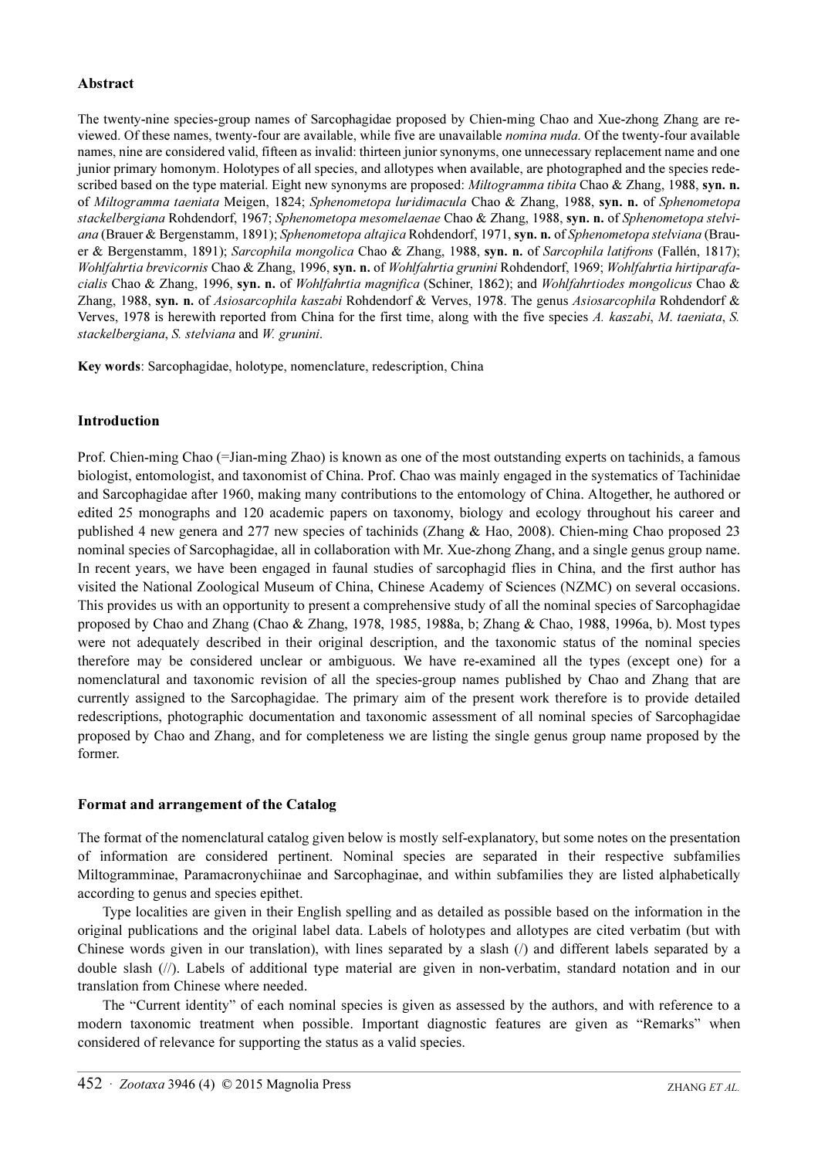### Abstract

The twenty-nine species-group names of Sarcophagidae proposed by Chien-ming Chao and Xue-zhong Zhang are reviewed. Of these names, twenty-four are available, while five are unavailable nomina nuda. Of the twenty-four available names, nine are considered valid, fifteen as invalid: thirteen junior synonyms, one unnecessary replacement name and one junior primary homonym. Holotypes of all species, and allotypes when available, are photographed and the species redescribed based on the type material. Eight new synonyms are proposed: Miltogramma tibita Chao & Zhang, 1988, syn. n. of Miltogramma taeniata Meigen, 1824; Sphenometopa luridimacula Chao & Zhang, 1988, syn. n. of Sphenometopa stackelbergiana Rohdendorf, 1967; Sphenometopa mesomelaenae Chao & Zhang, 1988, syn. n. of Sphenometopa stelviana (Brauer & Bergenstamm, 1891); Sphenometopa altajica Rohdendorf, 1971, syn. n. of Sphenometopa stelviana (Brauer & Bergenstamm, 1891); Sarcophila mongolica Chao & Zhang, 1988, syn. n. of Sarcophila latifrons (Fallén, 1817); Wohlfahrtia brevicornis Chao & Zhang, 1996, syn. n. of Wohlfahrtia grunini Rohdendorf, 1969; Wohlfahrtia hirtiparafacialis Chao & Zhang, 1996, syn. n. of Wohlfahrtia magnifica (Schiner, 1862); and Wohlfahrtiodes mongolicus Chao & Zhang, 1988, syn. n. of Asiosarcophila kaszabi Rohdendorf & Verves, 1978. The genus Asiosarcophila Rohdendorf & Verves, 1978 is herewith reported from China for the first time, along with the five species A. kaszabi, M. taeniata, S. stackelbergiana, S. stelviana and W. grunini.

Key words: Sarcophagidae, holotype, nomenclature, redescription, China

## <span id="page-1-0"></span>Introduction

Prof. Chien-ming Chao (=Jian-ming Zhao) is known as one of the most outstanding experts on tachinids, a famous biologist, entomologist, and taxonomist of China. Prof. Chao was mainly engaged in the systematics of Tachinidae and Sarcophagidae after 1960, making many contributions to the entomology of China. Altogether, he authored or edited 25 monographs and 120 academic papers on taxonomy, biology and ecology throughout his career and published 4 new genera and 277 new species of tachinids (Zhang & Hao, 2008). Chien-ming Chao proposed 23 nominal species of Sarcophagidae, all in collaboration with Mr. Xue-zhong Zhang, and a single genus group name. In recent years, we have been engaged in faunal studies of sarcophagid flies in China, and the first author has visited the National Zoological Museum of China, Chinese Academy of Sciences (NZMC) on several occasions. This provides us with an opportunity to present a comprehensive study of all the nominal species of Sarcophagidae proposed by Chao and Zhang (Chao & Zhang, 1978, 1985, 1988a, b; Zhang & Chao, 1988, 1996a, b). Most types were not adequately described in their original description, and the taxonomic status of the nominal species therefore may be considered unclear or ambiguous. We have re-examined all the types (except one) for a nomenclatural and taxonomic revision of all the species-group names published by Chao and Zhang that are currently assigned to the Sarcophagidae. The primary aim of the present work therefore is to provide detailed redescriptions, photographic documentation and taxonomic assessment of all nominal species of Sarcophagidae proposed by Chao and Zhang, and for completeness we are listing the single genus group name proposed by the former.

#### <span id="page-1-1"></span>Format and arrangement of the Catalog

The format of the nomenclatural catalog given below is mostly self-explanatory, but some notes on the presentation of information are considered pertinent. Nominal species are separated in their respective subfamilies Miltogramminae, Paramacronychiinae and Sarcophaginae, and within subfamilies they are listed alphabetically according to genus and species epithet.

Type localities are given in their English spelling and as detailed as possible based on the information in the original publications and the original label data. Labels of holotypes and allotypes are cited verbatim (but with Chinese words given in our translation), with lines separated by a slash (/) and different labels separated by a double slash (//). Labels of additional type material are given in non-verbatim, standard notation and in our translation from Chinese where needed.

The "Current identity" of each nominal species is given as assessed by the authors, and with reference to a modern taxonomic treatment when possible. Important diagnostic features are given as "Remarks" when considered of relevance for supporting the status as a valid species.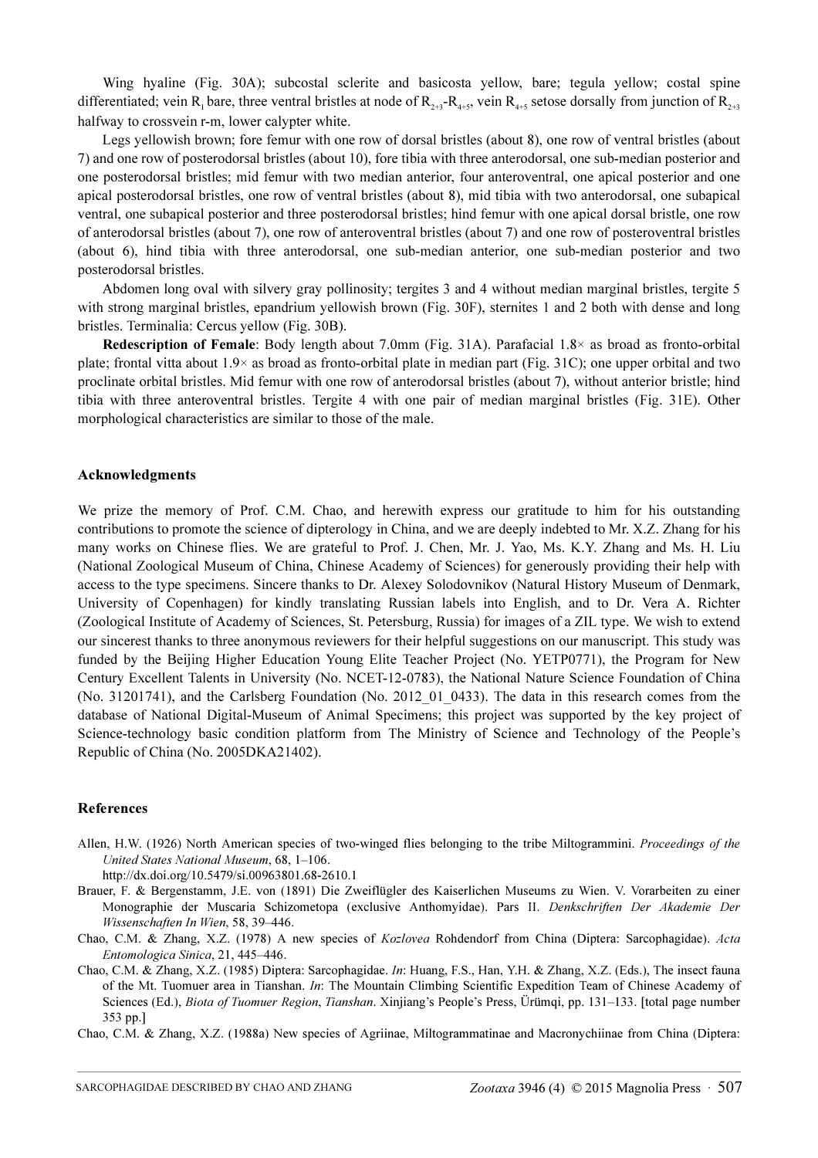Wing hyaline (Fig. 30A); subcostal sclerite and basicosta yellow, bare; tegula yellow; costal spine differentiated; vein R<sub>1</sub> bare, three ventral bristles at node of R<sub>2+3</sub>-R<sub>4+5</sub>, vein R<sub>4+5</sub> setose dorsally from junction of R<sub>2+3</sub> halfway to crossvein r-m, lower calypter white.

Legs yellowish brown; fore femur with one row of dorsal bristles (about 8), one row of ventral bristles (about 7) and one row of posterodorsal bristles (about 10), fore tibia with three anterodorsal, one sub-median posterior and one posterodorsal bristles; mid femur with two median anterior, four anteroventral, one apical posterior and one apical posterodorsal bristles, one row of ventral bristles (about 8), mid tibia with two anterodorsal, one subapical ventral, one subapical posterior and three posterodorsal bristles; hind femur with one apical dorsal bristle, one row of anterodorsal bristles (about 7), one row of anteroventral bristles (about 7) and one row of posteroventral bristles (about 6), hind tibia with three anterodorsal, one sub-median anterior, one sub-median posterior and two posterodorsal bristles.

Abdomen long oval with silvery gray pollinosity; tergites 3 and 4 without median marginal bristles, tergite 5 with strong marginal bristles, epandrium yellowish brown (Fig. 30F), sternites 1 and 2 both with dense and long bristles. Terminalia: Cercus yellow (Fig. 30B).

Redescription of Female: Body length about 7.0mm (Fig. 31A). Parafacial 1.8× as broad as fronto-orbital plate; frontal vitta about 1.9× as broad as fronto-orbital plate in median part (Fig. 31C); one upper orbital and two proclinate orbital bristles. Mid femur with one row of anterodorsal bristles (about 7), without anterior bristle; hind tibia with three anteroventral bristles. Tergite 4 with one pair of median marginal bristles (Fig. 31E). Other morphological characteristics are similar to those of the male.

#### <span id="page-2-0"></span>Acknowledgments

We prize the memory of Prof. C.M. Chao, and herewith express our gratitude to him for his outstanding contributions to promote the science of dipterology in China, and we are deeply indebted to Mr. X.Z. Zhang for his many works on Chinese flies. We are grateful to Prof. J. Chen, Mr. J. Yao, Ms. K.Y. Zhang and Ms. H. Liu (National Zoological Museum of China, Chinese Academy of Sciences) for generously providing their help with access to the type specimens. Sincere thanks to Dr. Alexey Solodovnikov (Natural History Museum of Denmark, University of Copenhagen) for kindly translating Russian labels into English, and to Dr. Vera A. Richter (Zoological Institute of Academy of Sciences, St. Petersburg, Russia) for images of a ZIL type. We wish to extend our sincerest thanks to three anonymous reviewers for their helpful suggestions on our manuscript. This study was funded by the Beijing Higher Education Young Elite Teacher Project (No. YETP0771), the Program for New Century Excellent Talents in University (No. NCET-12-0783), the National Nature Science Foundation of China (No. 31201741), and the Carlsberg Foundation (No. 2012\_01\_0433). The data in this research comes from the database of National Digital-Museum of Animal Specimens; this project was supported by the key project of Science-technology basic condition platform from The Ministry of Science and Technology of the People's Republic of China (No. 2005DKA21402).

#### <span id="page-2-1"></span>References

Allen, H.W. (1926) North American species of two-winged flies belonging to the tribe Miltogrammini. Proceedings of the United States National Museum, 68, 1–106.

http://dx.doi.org/10.5479/si.00963801.68-2610.1

- Brauer, F. & Bergenstamm, J.E. von (1891) Die Zweiflügler des Kaiserlichen Museums zu Wien. V. Vorarbeiten zu einer Monographie der Muscaria Schizometopa (exclusive Anthomyidae). Pars II. Denkschriften Der Akademie Der Wissenschaften In Wien, 58, 39–446.
- Chao, C.M. & Zhang, X.Z. (1978) A new species of Kozlovea Rohdendorf from China (Diptera: Sarcophagidae). Acta Entomologica Sinica, 21, 445–446.
- Chao, C.M. & Zhang, X.Z. (1985) Diptera: Sarcophagidae. In: Huang, F.S., Han, Y.H. & Zhang, X.Z. (Eds.), The insect fauna of the Mt. Tuomuer area in Tianshan. In: The Mountain Climbing Scientific Expedition Team of Chinese Academy of Sciences (Ed.), *Biota of Tuomuer Region, Tianshan.* Xinjiang's People's Press, Ürümqi, pp. 131–133. [total page number 353 pp.]

Chao, C.M. & Zhang, X.Z. (1988a) New species of Agriinae, Miltogrammatinae and Macronychiinae from China (Diptera: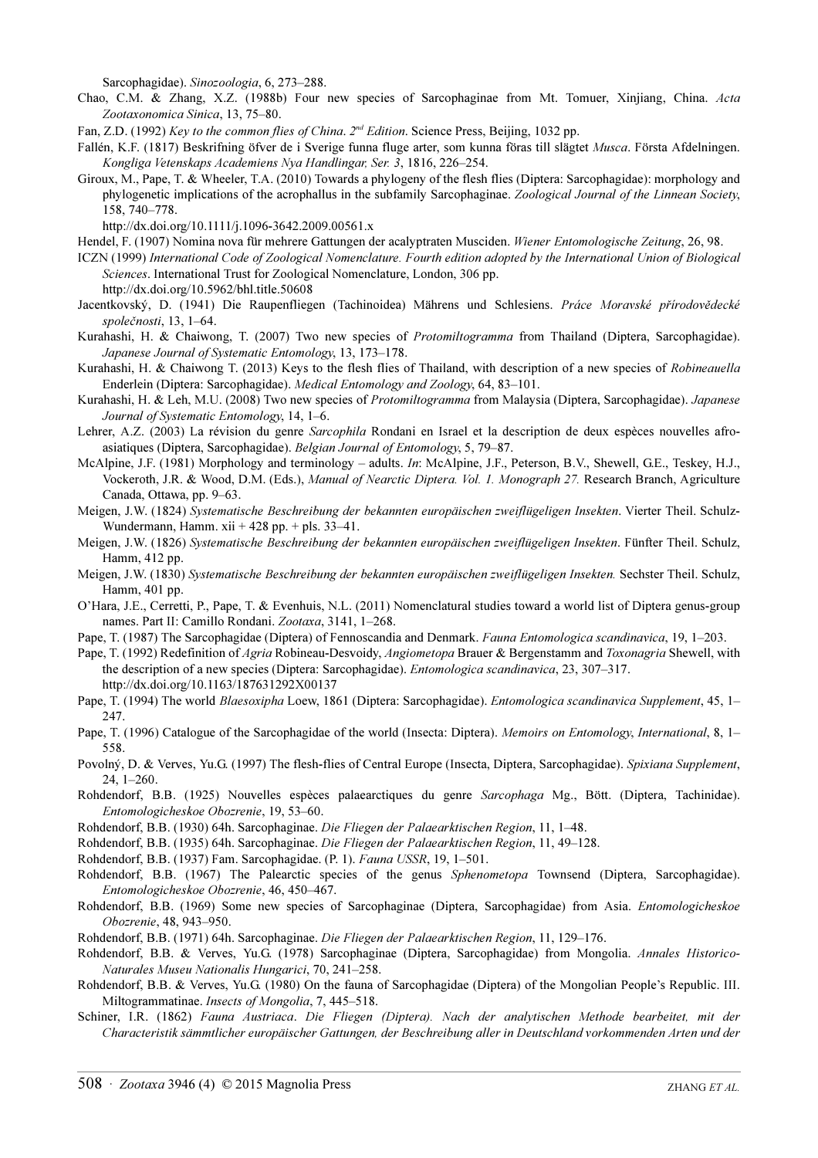Sarcophagidae). Sinozoologia, 6, 273–288.

- Chao, C.M. & Zhang, X.Z. (1988b) Four new species of Sarcophaginae from Mt. Tomuer, Xinjiang, China. Acta Zootaxonomica Sinica, 13, 75–80.
- Fan, Z.D. (1992) Key to the common flies of China. 2<sup>nd</sup> Edition. Science Press, Beijing, 1032 pp.
- Fallén, K.F. (1817) Beskrifning öfver de i Sverige funna fluge arter, som kunna föras till slägtet Musca. Första Afdelningen. Kongliga Vetenskaps Academiens Nya Handlingar, Ser. 3, 1816, 226–254.
- Giroux, M., Pape, T. & Wheeler, T.A. (2010) Towards a phylogeny of the flesh flies (Diptera: Sarcophagidae): morphology and phylogenetic implications of the acrophallus in the subfamily Sarcophaginae. Zoological Journal of the Linnean Society, 158, 740–778.
	- http://dx.doi.org/10.1111/j.1096-3642.2009.00561.x
- Hendel, F. (1907) Nomina nova für mehrere Gattungen der acalyptraten Musciden. Wiener Entomologische Zeitung, 26, 98.
- ICZN (1999) International Code of Zoological Nomenclature. Fourth edition adopted by the International Union of Biological Sciences. International Trust for Zoological Nomenclature, London, 306 pp.

http://dx.doi.org/10.5962/bhl.title.50608

- Jacentkovský, D. (1941) Die Raupenfliegen (Tachinoidea) Mährens und Schlesiens. Práce Moravské přírodovědecké společnosti, 13, 1–64.
- Kurahashi, H. & Chaiwong, T. (2007) Two new species of *Protomiltogramma* from Thailand (Diptera, Sarcophagidae). Japanese Journal of Systematic Entomology, 13, 173–178.
- Kurahashi, H. & Chaiwong T. (2013) Keys to the flesh flies of Thailand, with description of a new species of Robineauella Enderlein (Diptera: Sarcophagidae). Medical Entomology and Zoology, 64, 83–101.
- Kurahashi, H. & Leh, M.U. (2008) Two new species of *Protomiltogramma* from Malaysia (Diptera, Sarcophagidae). *Japanese* Journal of Systematic Entomology, 14, 1–6.
- Lehrer, A.Z. (2003) La révision du genre Sarcophila Rondani en Israel et la description de deux espèces nouvelles afroasiatiques (Diptera, Sarcophagidae). Belgian Journal of Entomology, 5, 79–87.
- McAlpine, J.F. (1981) Morphology and terminology adults. In: McAlpine, J.F., Peterson, B.V., Shewell, G.E., Teskey, H.J., Vockeroth, J.R. & Wood, D.M. (Eds.), Manual of Nearctic Diptera. Vol. 1. Monograph 27. Research Branch, Agriculture Canada, Ottawa, pp. 9–63.
- Meigen, J.W. (1824) Systematische Beschreibung der bekannten europäischen zweiflügeligen Insekten. Vierter Theil. Schulz-Wundermann, Hamm. xii + 428 pp. + pls. 33–41.
- Meigen, J.W. (1826) Systematische Beschreibung der bekannten europäischen zweiflügeligen Insekten. Fünfter Theil. Schulz, Hamm, 412 pp.
- Meigen, J.W. (1830) Systematische Beschreibung der bekannten europäischen zweiflügeligen Insekten. Sechster Theil. Schulz, Hamm, 401 pp.
- O'Hara, J.E., Cerretti, P., Pape, T. & Evenhuis, N.L. (2011) Nomenclatural studies toward a world list of Diptera genus-group names. Part II: Camillo Rondani. Zootaxa, 3141, 1–268.
- Pape, T. (1987) The Sarcophagidae (Diptera) of Fennoscandia and Denmark. Fauna Entomologica scandinavica, 19, 1–203.
- Pape, T. (1992) Redefinition of Agria Robineau-Desvoidy, Angiometopa Brauer & Bergenstamm and Toxonagria Shewell, with the description of a new species (Diptera: Sarcophagidae). Entomologica scandinavica, 23, 307–317. http://dx.doi.org/10.1163/187631292X00137
- Pape, T. (1994) The world Blaesoxipha Loew, 1861 (Diptera: Sarcophagidae). Entomologica scandinavica Supplement, 45, 1– 247.
- Pape, T. (1996) Catalogue of the Sarcophagidae of the world (Insecta: Diptera). Memoirs on Entomology, International, 8, 1– 558.
- Povolný, D. & Verves, Yu.G. (1997) The flesh-flies of Central Europe (Insecta, Diptera, Sarcophagidae). Spixiana Supplement, 24, 1–260.
- Rohdendorf, B.B. (1925) Nouvelles espèces palaearctiques du genre Sarcophaga Mg., Bött. (Diptera, Tachinidae). Entomologicheskoe Obozrenie, 19, 53–60.
- Rohdendorf, B.B. (1930) 64h. Sarcophaginae. Die Fliegen der Palaearktischen Region, 11, 1–48.
- Rohdendorf, B.B. (1935) 64h. Sarcophaginae. Die Fliegen der Palaearktischen Region, 11, 49–128.
- Rohdendorf, B.B. (1937) Fam. Sarcophagidae. (P. 1). Fauna USSR, 19, 1–501.
- Rohdendorf, B.B. (1967) The Palearctic species of the genus Sphenometopa Townsend (Diptera, Sarcophagidae). Entomologicheskoe Obozrenie, 46, 450–467.
- Rohdendorf, B.B. (1969) Some new species of Sarcophaginae (Diptera, Sarcophagidae) from Asia. Entomologicheskoe Obozrenie, 48, 943–950.

Rohdendorf, B.B. (1971) 64h. Sarcophaginae. Die Fliegen der Palaearktischen Region, 11, 129–176.

- Rohdendorf, B.B. & Verves, Yu.G. (1978) Sarcophaginae (Diptera, Sarcophagidae) from Mongolia. Annales Historico-Naturales Museu Nationalis Hungarici, 70, 241–258.
- Rohdendorf, B.B. & Verves, Yu.G. (1980) On the fauna of Sarcophagidae (Diptera) of the Mongolian People's Republic. III. Miltogrammatinae. Insects of Mongolia, 7, 445–518.
- Schiner, I.R. (1862) Fauna Austriaca. Die Fliegen (Diptera). Nach der analytischen Methode bearbeitet, mit der Characteristik sämmtlicher europäischer Gattungen, der Beschreibung aller in Deutschland vorkommenden Arten und der